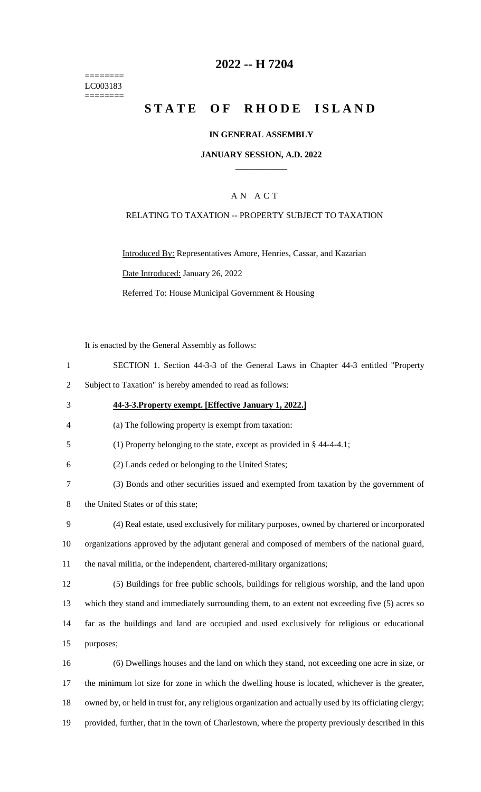======== LC003183 ========

## **2022 -- H 7204**

# **STATE OF RHODE ISLAND**

#### **IN GENERAL ASSEMBLY**

### **JANUARY SESSION, A.D. 2022 \_\_\_\_\_\_\_\_\_\_\_\_**

### A N A C T

#### RELATING TO TAXATION -- PROPERTY SUBJECT TO TAXATION

Introduced By: Representatives Amore, Henries, Cassar, and Kazarian Date Introduced: January 26, 2022 Referred To: House Municipal Government & Housing

It is enacted by the General Assembly as follows:

- 1 SECTION 1. Section 44-3-3 of the General Laws in Chapter 44-3 entitled "Property
- 2 Subject to Taxation" is hereby amended to read as follows:
- 3 **44-3-3.Property exempt. [Effective January 1, 2022.]**
- 4 (a) The following property is exempt from taxation:
- 5 (1) Property belonging to the state, except as provided in § 44-4-4.1;
- 6 (2) Lands ceded or belonging to the United States;
- 7 (3) Bonds and other securities issued and exempted from taxation by the government of
- 8 the United States or of this state;
- 9 (4) Real estate, used exclusively for military purposes, owned by chartered or incorporated 10 organizations approved by the adjutant general and composed of members of the national guard, 11 the naval militia, or the independent, chartered-military organizations;
- 12 (5) Buildings for free public schools, buildings for religious worship, and the land upon 13 which they stand and immediately surrounding them, to an extent not exceeding five (5) acres so 14 far as the buildings and land are occupied and used exclusively for religious or educational 15 purposes;
- 16 (6) Dwellings houses and the land on which they stand, not exceeding one acre in size, or 17 the minimum lot size for zone in which the dwelling house is located, whichever is the greater, 18 owned by, or held in trust for, any religious organization and actually used by its officiating clergy; 19 provided, further, that in the town of Charlestown, where the property previously described in this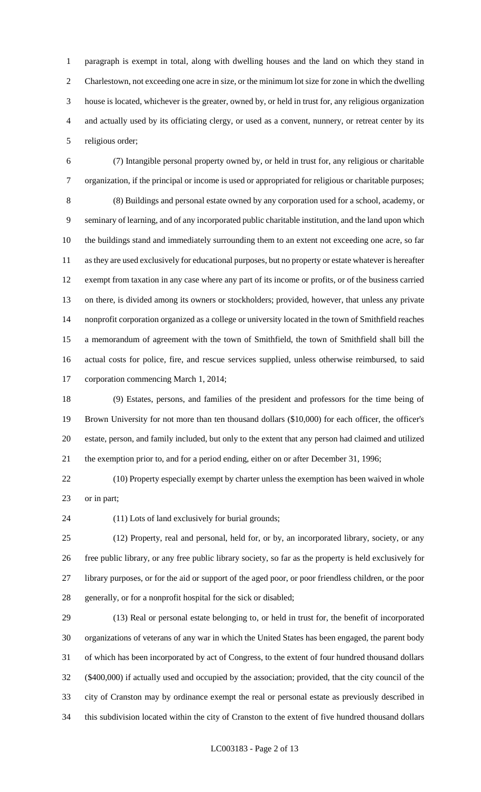paragraph is exempt in total, along with dwelling houses and the land on which they stand in Charlestown, not exceeding one acre in size, or the minimum lot size for zone in which the dwelling house is located, whichever is the greater, owned by, or held in trust for, any religious organization and actually used by its officiating clergy, or used as a convent, nunnery, or retreat center by its religious order;

 (7) Intangible personal property owned by, or held in trust for, any religious or charitable organization, if the principal or income is used or appropriated for religious or charitable purposes; (8) Buildings and personal estate owned by any corporation used for a school, academy, or seminary of learning, and of any incorporated public charitable institution, and the land upon which the buildings stand and immediately surrounding them to an extent not exceeding one acre, so far as they are used exclusively for educational purposes, but no property or estate whatever is hereafter exempt from taxation in any case where any part of its income or profits, or of the business carried on there, is divided among its owners or stockholders; provided, however, that unless any private nonprofit corporation organized as a college or university located in the town of Smithfield reaches a memorandum of agreement with the town of Smithfield, the town of Smithfield shall bill the actual costs for police, fire, and rescue services supplied, unless otherwise reimbursed, to said corporation commencing March 1, 2014;

 (9) Estates, persons, and families of the president and professors for the time being of Brown University for not more than ten thousand dollars (\$10,000) for each officer, the officer's estate, person, and family included, but only to the extent that any person had claimed and utilized the exemption prior to, and for a period ending, either on or after December 31, 1996;

 (10) Property especially exempt by charter unless the exemption has been waived in whole or in part;

(11) Lots of land exclusively for burial grounds;

 (12) Property, real and personal, held for, or by, an incorporated library, society, or any free public library, or any free public library society, so far as the property is held exclusively for library purposes, or for the aid or support of the aged poor, or poor friendless children, or the poor generally, or for a nonprofit hospital for the sick or disabled;

 (13) Real or personal estate belonging to, or held in trust for, the benefit of incorporated organizations of veterans of any war in which the United States has been engaged, the parent body of which has been incorporated by act of Congress, to the extent of four hundred thousand dollars (\$400,000) if actually used and occupied by the association; provided, that the city council of the city of Cranston may by ordinance exempt the real or personal estate as previously described in this subdivision located within the city of Cranston to the extent of five hundred thousand dollars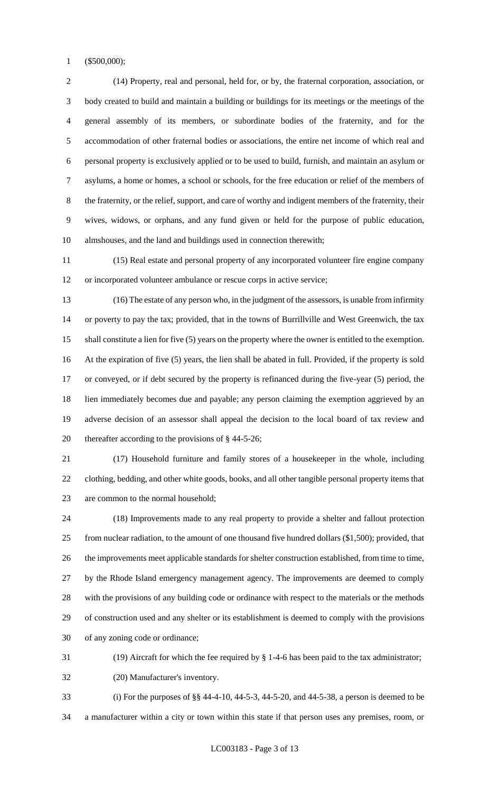(\$500,000);

 (14) Property, real and personal, held for, or by, the fraternal corporation, association, or body created to build and maintain a building or buildings for its meetings or the meetings of the general assembly of its members, or subordinate bodies of the fraternity, and for the accommodation of other fraternal bodies or associations, the entire net income of which real and personal property is exclusively applied or to be used to build, furnish, and maintain an asylum or asylums, a home or homes, a school or schools, for the free education or relief of the members of the fraternity, or the relief, support, and care of worthy and indigent members of the fraternity, their wives, widows, or orphans, and any fund given or held for the purpose of public education, almshouses, and the land and buildings used in connection therewith;

 (15) Real estate and personal property of any incorporated volunteer fire engine company or incorporated volunteer ambulance or rescue corps in active service;

 (16) The estate of any person who, in the judgment of the assessors, is unable from infirmity or poverty to pay the tax; provided, that in the towns of Burrillville and West Greenwich, the tax shall constitute a lien for five (5) years on the property where the owner is entitled to the exemption. At the expiration of five (5) years, the lien shall be abated in full. Provided, if the property is sold or conveyed, or if debt secured by the property is refinanced during the five-year (5) period, the lien immediately becomes due and payable; any person claiming the exemption aggrieved by an adverse decision of an assessor shall appeal the decision to the local board of tax review and thereafter according to the provisions of § 44-5-26;

 (17) Household furniture and family stores of a housekeeper in the whole, including clothing, bedding, and other white goods, books, and all other tangible personal property items that are common to the normal household;

 (18) Improvements made to any real property to provide a shelter and fallout protection from nuclear radiation, to the amount of one thousand five hundred dollars (\$1,500); provided, that the improvements meet applicable standards for shelter construction established, from time to time, by the Rhode Island emergency management agency. The improvements are deemed to comply with the provisions of any building code or ordinance with respect to the materials or the methods of construction used and any shelter or its establishment is deemed to comply with the provisions of any zoning code or ordinance;

(19) Aircraft for which the fee required by § 1-4-6 has been paid to the tax administrator;

(20) Manufacturer's inventory.

 (i) For the purposes of §§ 44-4-10, 44-5-3, 44-5-20, and 44-5-38, a person is deemed to be a manufacturer within a city or town within this state if that person uses any premises, room, or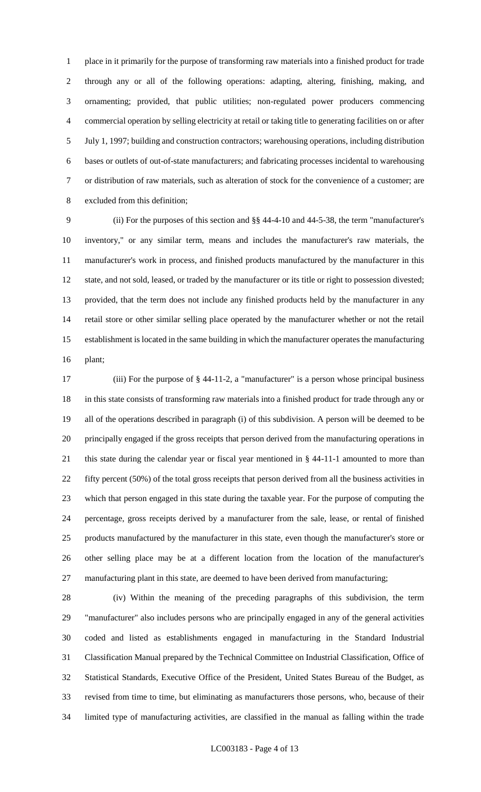place in it primarily for the purpose of transforming raw materials into a finished product for trade through any or all of the following operations: adapting, altering, finishing, making, and ornamenting; provided, that public utilities; non-regulated power producers commencing commercial operation by selling electricity at retail or taking title to generating facilities on or after July 1, 1997; building and construction contractors; warehousing operations, including distribution bases or outlets of out-of-state manufacturers; and fabricating processes incidental to warehousing or distribution of raw materials, such as alteration of stock for the convenience of a customer; are excluded from this definition;

 (ii) For the purposes of this section and §§ 44-4-10 and 44-5-38, the term "manufacturer's inventory," or any similar term, means and includes the manufacturer's raw materials, the manufacturer's work in process, and finished products manufactured by the manufacturer in this state, and not sold, leased, or traded by the manufacturer or its title or right to possession divested; provided, that the term does not include any finished products held by the manufacturer in any retail store or other similar selling place operated by the manufacturer whether or not the retail establishment is located in the same building in which the manufacturer operates the manufacturing plant;

 (iii) For the purpose of § 44-11-2, a "manufacturer" is a person whose principal business in this state consists of transforming raw materials into a finished product for trade through any or all of the operations described in paragraph (i) of this subdivision. A person will be deemed to be principally engaged if the gross receipts that person derived from the manufacturing operations in this state during the calendar year or fiscal year mentioned in § 44-11-1 amounted to more than fifty percent (50%) of the total gross receipts that person derived from all the business activities in which that person engaged in this state during the taxable year. For the purpose of computing the percentage, gross receipts derived by a manufacturer from the sale, lease, or rental of finished products manufactured by the manufacturer in this state, even though the manufacturer's store or other selling place may be at a different location from the location of the manufacturer's manufacturing plant in this state, are deemed to have been derived from manufacturing;

 (iv) Within the meaning of the preceding paragraphs of this subdivision, the term "manufacturer" also includes persons who are principally engaged in any of the general activities coded and listed as establishments engaged in manufacturing in the Standard Industrial Classification Manual prepared by the Technical Committee on Industrial Classification, Office of Statistical Standards, Executive Office of the President, United States Bureau of the Budget, as revised from time to time, but eliminating as manufacturers those persons, who, because of their limited type of manufacturing activities, are classified in the manual as falling within the trade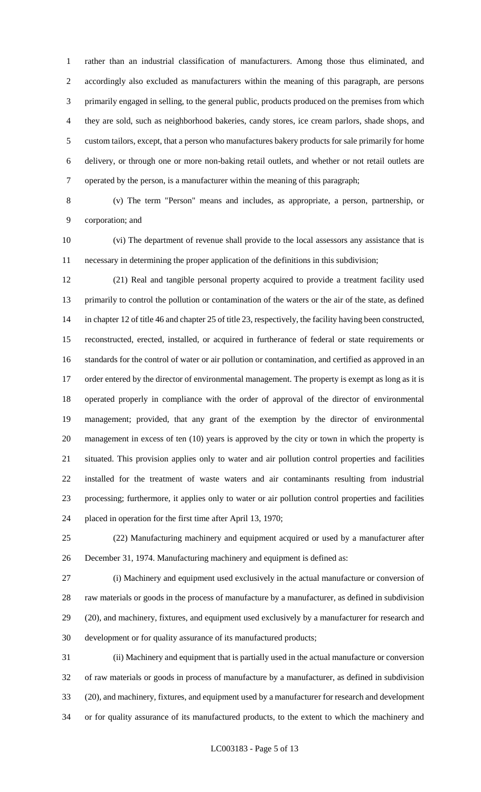rather than an industrial classification of manufacturers. Among those thus eliminated, and accordingly also excluded as manufacturers within the meaning of this paragraph, are persons primarily engaged in selling, to the general public, products produced on the premises from which they are sold, such as neighborhood bakeries, candy stores, ice cream parlors, shade shops, and custom tailors, except, that a person who manufactures bakery products for sale primarily for home delivery, or through one or more non-baking retail outlets, and whether or not retail outlets are operated by the person, is a manufacturer within the meaning of this paragraph;

 (v) The term "Person" means and includes, as appropriate, a person, partnership, or corporation; and

 (vi) The department of revenue shall provide to the local assessors any assistance that is necessary in determining the proper application of the definitions in this subdivision;

 (21) Real and tangible personal property acquired to provide a treatment facility used primarily to control the pollution or contamination of the waters or the air of the state, as defined in chapter 12 of title 46 and chapter 25 of title 23, respectively, the facility having been constructed, reconstructed, erected, installed, or acquired in furtherance of federal or state requirements or standards for the control of water or air pollution or contamination, and certified as approved in an 17 order entered by the director of environmental management. The property is exempt as long as it is operated properly in compliance with the order of approval of the director of environmental management; provided, that any grant of the exemption by the director of environmental management in excess of ten (10) years is approved by the city or town in which the property is situated. This provision applies only to water and air pollution control properties and facilities installed for the treatment of waste waters and air contaminants resulting from industrial processing; furthermore, it applies only to water or air pollution control properties and facilities placed in operation for the first time after April 13, 1970;

 (22) Manufacturing machinery and equipment acquired or used by a manufacturer after December 31, 1974. Manufacturing machinery and equipment is defined as:

 (i) Machinery and equipment used exclusively in the actual manufacture or conversion of raw materials or goods in the process of manufacture by a manufacturer, as defined in subdivision (20), and machinery, fixtures, and equipment used exclusively by a manufacturer for research and development or for quality assurance of its manufactured products;

 (ii) Machinery and equipment that is partially used in the actual manufacture or conversion of raw materials or goods in process of manufacture by a manufacturer, as defined in subdivision (20), and machinery, fixtures, and equipment used by a manufacturer for research and development or for quality assurance of its manufactured products, to the extent to which the machinery and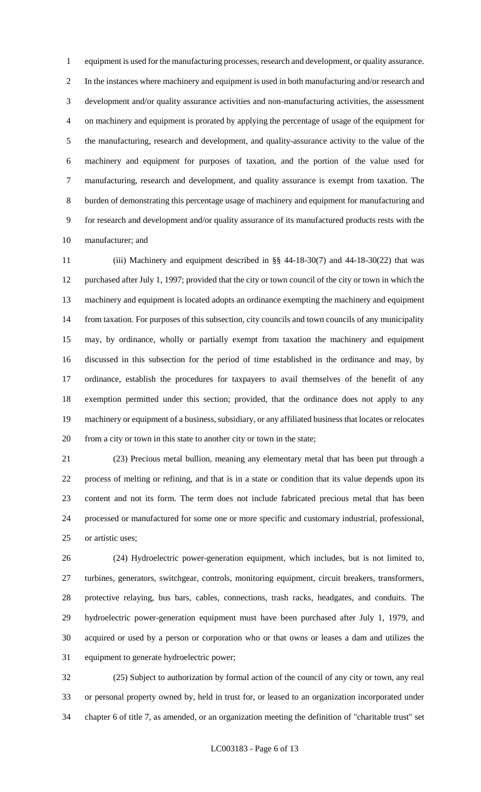equipment is used for the manufacturing processes, research and development, or quality assurance. In the instances where machinery and equipment is used in both manufacturing and/or research and development and/or quality assurance activities and non-manufacturing activities, the assessment on machinery and equipment is prorated by applying the percentage of usage of the equipment for the manufacturing, research and development, and quality-assurance activity to the value of the machinery and equipment for purposes of taxation, and the portion of the value used for manufacturing, research and development, and quality assurance is exempt from taxation. The burden of demonstrating this percentage usage of machinery and equipment for manufacturing and for research and development and/or quality assurance of its manufactured products rests with the manufacturer; and

 (iii) Machinery and equipment described in §§ 44-18-30(7) and 44-18-30(22) that was purchased after July 1, 1997; provided that the city or town council of the city or town in which the machinery and equipment is located adopts an ordinance exempting the machinery and equipment from taxation. For purposes of this subsection, city councils and town councils of any municipality may, by ordinance, wholly or partially exempt from taxation the machinery and equipment discussed in this subsection for the period of time established in the ordinance and may, by ordinance, establish the procedures for taxpayers to avail themselves of the benefit of any exemption permitted under this section; provided, that the ordinance does not apply to any machinery or equipment of a business, subsidiary, or any affiliated business that locates or relocates from a city or town in this state to another city or town in the state;

 (23) Precious metal bullion, meaning any elementary metal that has been put through a process of melting or refining, and that is in a state or condition that its value depends upon its content and not its form. The term does not include fabricated precious metal that has been processed or manufactured for some one or more specific and customary industrial, professional, or artistic uses;

 (24) Hydroelectric power-generation equipment, which includes, but is not limited to, turbines, generators, switchgear, controls, monitoring equipment, circuit breakers, transformers, protective relaying, bus bars, cables, connections, trash racks, headgates, and conduits. The hydroelectric power-generation equipment must have been purchased after July 1, 1979, and acquired or used by a person or corporation who or that owns or leases a dam and utilizes the equipment to generate hydroelectric power;

 (25) Subject to authorization by formal action of the council of any city or town, any real or personal property owned by, held in trust for, or leased to an organization incorporated under chapter 6 of title 7, as amended, or an organization meeting the definition of "charitable trust" set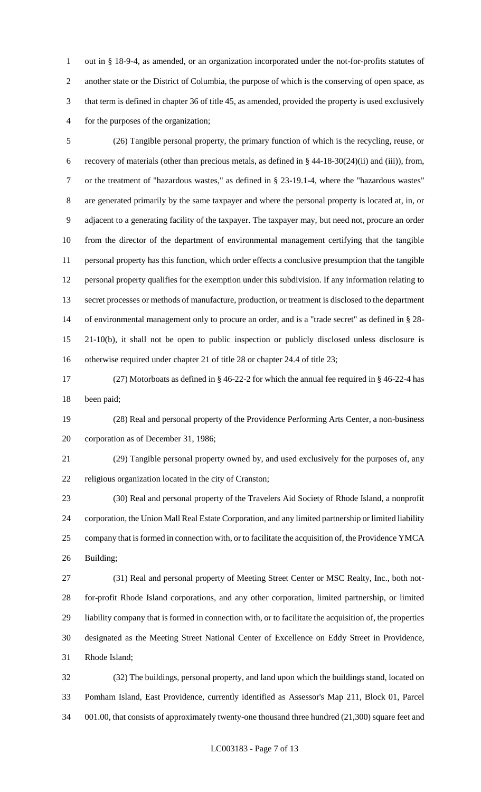out in § 18-9-4, as amended, or an organization incorporated under the not-for-profits statutes of another state or the District of Columbia, the purpose of which is the conserving of open space, as that term is defined in chapter 36 of title 45, as amended, provided the property is used exclusively for the purposes of the organization;

 (26) Tangible personal property, the primary function of which is the recycling, reuse, or recovery of materials (other than precious metals, as defined in § 44-18-30(24)(ii) and (iii)), from, or the treatment of "hazardous wastes," as defined in § 23-19.1-4, where the "hazardous wastes" are generated primarily by the same taxpayer and where the personal property is located at, in, or adjacent to a generating facility of the taxpayer. The taxpayer may, but need not, procure an order from the director of the department of environmental management certifying that the tangible personal property has this function, which order effects a conclusive presumption that the tangible personal property qualifies for the exemption under this subdivision. If any information relating to secret processes or methods of manufacture, production, or treatment is disclosed to the department of environmental management only to procure an order, and is a "trade secret" as defined in § 28- 21-10(b), it shall not be open to public inspection or publicly disclosed unless disclosure is otherwise required under chapter 21 of title 28 or chapter 24.4 of title 23;

 (27) Motorboats as defined in § 46-22-2 for which the annual fee required in § 46-22-4 has been paid;

 (28) Real and personal property of the Providence Performing Arts Center, a non-business corporation as of December 31, 1986;

 (29) Tangible personal property owned by, and used exclusively for the purposes of, any religious organization located in the city of Cranston;

 (30) Real and personal property of the Travelers Aid Society of Rhode Island, a nonprofit corporation, the Union Mall Real Estate Corporation, and any limited partnership or limited liability company that is formed in connection with, or to facilitate the acquisition of, the Providence YMCA Building;

 (31) Real and personal property of Meeting Street Center or MSC Realty, Inc., both not- for-profit Rhode Island corporations, and any other corporation, limited partnership, or limited liability company that is formed in connection with, or to facilitate the acquisition of, the properties designated as the Meeting Street National Center of Excellence on Eddy Street in Providence, Rhode Island;

 (32) The buildings, personal property, and land upon which the buildings stand, located on Pomham Island, East Providence, currently identified as Assessor's Map 211, Block 01, Parcel 001.00, that consists of approximately twenty-one thousand three hundred (21,300) square feet and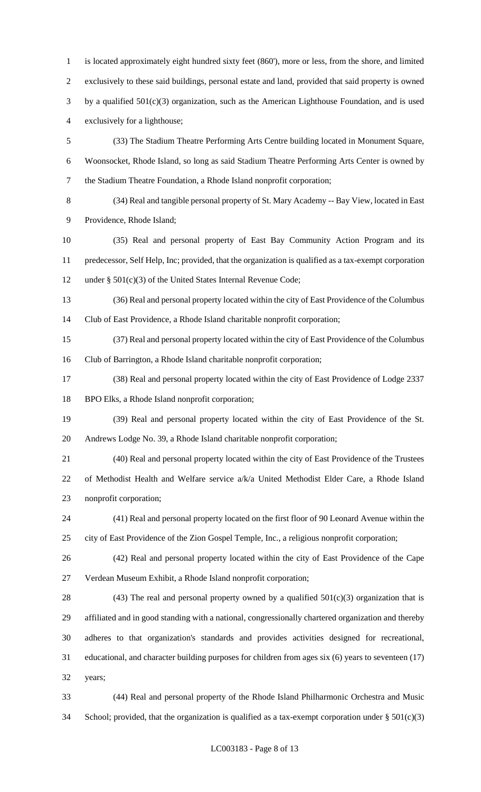is located approximately eight hundred sixty feet (860'), more or less, from the shore, and limited exclusively to these said buildings, personal estate and land, provided that said property is owned by a qualified 501(c)(3) organization, such as the American Lighthouse Foundation, and is used exclusively for a lighthouse; (33) The Stadium Theatre Performing Arts Centre building located in Monument Square, Woonsocket, Rhode Island, so long as said Stadium Theatre Performing Arts Center is owned by the Stadium Theatre Foundation, a Rhode Island nonprofit corporation;

 (34) Real and tangible personal property of St. Mary Academy -- Bay View, located in East Providence, Rhode Island;

 (35) Real and personal property of East Bay Community Action Program and its predecessor, Self Help, Inc; provided, that the organization is qualified as a tax-exempt corporation under § 501(c)(3) of the United States Internal Revenue Code;

 (36) Real and personal property located within the city of East Providence of the Columbus Club of East Providence, a Rhode Island charitable nonprofit corporation;

 (37) Real and personal property located within the city of East Providence of the Columbus Club of Barrington, a Rhode Island charitable nonprofit corporation;

 (38) Real and personal property located within the city of East Providence of Lodge 2337 BPO Elks, a Rhode Island nonprofit corporation;

 (39) Real and personal property located within the city of East Providence of the St. Andrews Lodge No. 39, a Rhode Island charitable nonprofit corporation;

 (40) Real and personal property located within the city of East Providence of the Trustees of Methodist Health and Welfare service a/k/a United Methodist Elder Care, a Rhode Island nonprofit corporation;

 (41) Real and personal property located on the first floor of 90 Leonard Avenue within the city of East Providence of the Zion Gospel Temple, Inc., a religious nonprofit corporation;

 (42) Real and personal property located within the city of East Providence of the Cape Verdean Museum Exhibit, a Rhode Island nonprofit corporation;

28 (43) The real and personal property owned by a qualified  $501(c)(3)$  organization that is affiliated and in good standing with a national, congressionally chartered organization and thereby adheres to that organization's standards and provides activities designed for recreational, educational, and character building purposes for children from ages six (6) years to seventeen (17) years;

 (44) Real and personal property of the Rhode Island Philharmonic Orchestra and Music 34 School; provided, that the organization is qualified as a tax-exempt corporation under  $\S 501(c)(3)$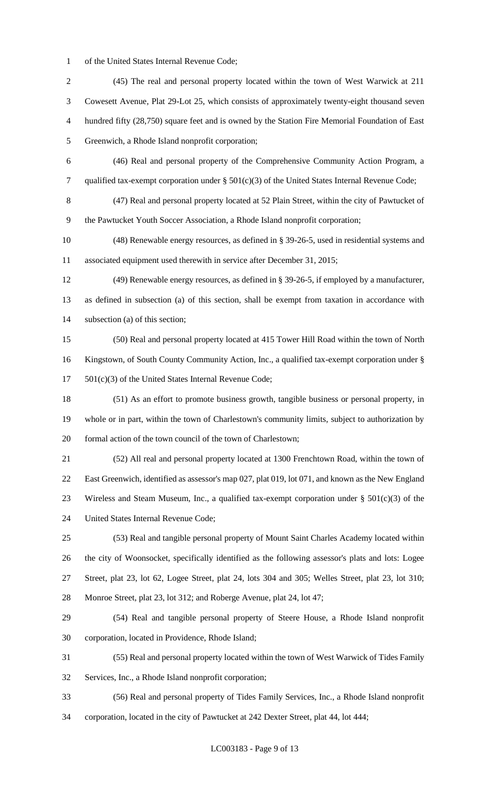of the United States Internal Revenue Code;

 (45) The real and personal property located within the town of West Warwick at 211 Cowesett Avenue, Plat 29-Lot 25, which consists of approximately twenty-eight thousand seven hundred fifty (28,750) square feet and is owned by the Station Fire Memorial Foundation of East Greenwich, a Rhode Island nonprofit corporation; (46) Real and personal property of the Comprehensive Community Action Program, a qualified tax-exempt corporation under § 501(c)(3) of the United States Internal Revenue Code; (47) Real and personal property located at 52 Plain Street, within the city of Pawtucket of the Pawtucket Youth Soccer Association, a Rhode Island nonprofit corporation; (48) Renewable energy resources, as defined in § 39-26-5, used in residential systems and associated equipment used therewith in service after December 31, 2015; (49) Renewable energy resources, as defined in § 39-26-5, if employed by a manufacturer, as defined in subsection (a) of this section, shall be exempt from taxation in accordance with subsection (a) of this section; (50) Real and personal property located at 415 Tower Hill Road within the town of North Kingstown, of South County Community Action, Inc., a qualified tax-exempt corporation under § 501(c)(3) of the United States Internal Revenue Code; (51) As an effort to promote business growth, tangible business or personal property, in whole or in part, within the town of Charlestown's community limits, subject to authorization by formal action of the town council of the town of Charlestown; (52) All real and personal property located at 1300 Frenchtown Road, within the town of East Greenwich, identified as assessor's map 027, plat 019, lot 071, and known as the New England 23 Wireless and Steam Museum, Inc., a qualified tax-exempt corporation under  $\S$  501(c)(3) of the United States Internal Revenue Code; (53) Real and tangible personal property of Mount Saint Charles Academy located within the city of Woonsocket, specifically identified as the following assessor's plats and lots: Logee Street, plat 23, lot 62, Logee Street, plat 24, lots 304 and 305; Welles Street, plat 23, lot 310; Monroe Street, plat 23, lot 312; and Roberge Avenue, plat 24, lot 47; (54) Real and tangible personal property of Steere House, a Rhode Island nonprofit corporation, located in Providence, Rhode Island; (55) Real and personal property located within the town of West Warwick of Tides Family Services, Inc., a Rhode Island nonprofit corporation; (56) Real and personal property of Tides Family Services, Inc., a Rhode Island nonprofit

corporation, located in the city of Pawtucket at 242 Dexter Street, plat 44, lot 444;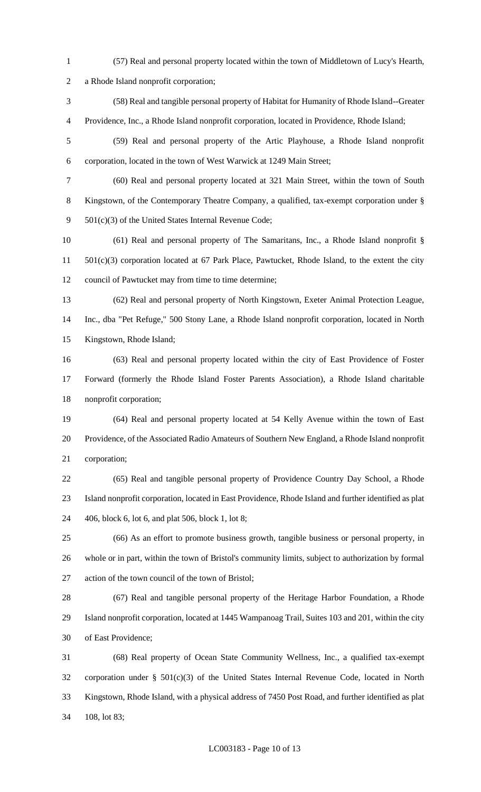- (57) Real and personal property located within the town of Middletown of Lucy's Hearth, a Rhode Island nonprofit corporation; (58) Real and tangible personal property of Habitat for Humanity of Rhode Island--Greater Providence, Inc., a Rhode Island nonprofit corporation, located in Providence, Rhode Island; (59) Real and personal property of the Artic Playhouse, a Rhode Island nonprofit corporation, located in the town of West Warwick at 1249 Main Street; (60) Real and personal property located at 321 Main Street, within the town of South Kingstown, of the Contemporary Theatre Company, a qualified, tax-exempt corporation under § 501(c)(3) of the United States Internal Revenue Code; (61) Real and personal property of The Samaritans, Inc., a Rhode Island nonprofit § 501(c)(3) corporation located at 67 Park Place, Pawtucket, Rhode Island, to the extent the city council of Pawtucket may from time to time determine; (62) Real and personal property of North Kingstown, Exeter Animal Protection League, Inc., dba "Pet Refuge," 500 Stony Lane, a Rhode Island nonprofit corporation, located in North Kingstown, Rhode Island; (63) Real and personal property located within the city of East Providence of Foster Forward (formerly the Rhode Island Foster Parents Association), a Rhode Island charitable nonprofit corporation; (64) Real and personal property located at 54 Kelly Avenue within the town of East Providence, of the Associated Radio Amateurs of Southern New England, a Rhode Island nonprofit corporation; (65) Real and tangible personal property of Providence Country Day School, a Rhode Island nonprofit corporation, located in East Providence, Rhode Island and further identified as plat 406, block 6, lot 6, and plat 506, block 1, lot 8; (66) As an effort to promote business growth, tangible business or personal property, in whole or in part, within the town of Bristol's community limits, subject to authorization by formal action of the town council of the town of Bristol; (67) Real and tangible personal property of the Heritage Harbor Foundation, a Rhode Island nonprofit corporation, located at 1445 Wampanoag Trail, Suites 103 and 201, within the city of East Providence; (68) Real property of Ocean State Community Wellness, Inc., a qualified tax-exempt corporation under § 501(c)(3) of the United States Internal Revenue Code, located in North Kingstown, Rhode Island, with a physical address of 7450 Post Road, and further identified as plat
- 108, lot 83;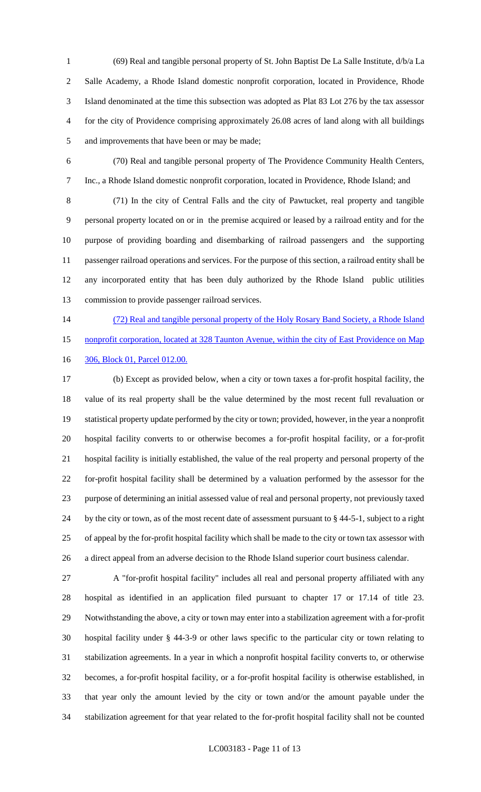(69) Real and tangible personal property of St. John Baptist De La Salle Institute, d/b/a La Salle Academy, a Rhode Island domestic nonprofit corporation, located in Providence, Rhode Island denominated at the time this subsection was adopted as Plat 83 Lot 276 by the tax assessor for the city of Providence comprising approximately 26.08 acres of land along with all buildings and improvements that have been or may be made;

 (70) Real and tangible personal property of The Providence Community Health Centers, Inc., a Rhode Island domestic nonprofit corporation, located in Providence, Rhode Island; and

 (71) In the city of Central Falls and the city of Pawtucket, real property and tangible personal property located on or in the premise acquired or leased by a railroad entity and for the purpose of providing boarding and disembarking of railroad passengers and the supporting passenger railroad operations and services. For the purpose of this section, a railroad entity shall be any incorporated entity that has been duly authorized by the Rhode Island public utilities commission to provide passenger railroad services.

 (72) Real and tangible personal property of the Holy Rosary Band Society, a Rhode Island nonprofit corporation, located at 328 Taunton Avenue, within the city of East Providence on Map

306, Block 01, Parcel 012.00.

 (b) Except as provided below, when a city or town taxes a for-profit hospital facility, the value of its real property shall be the value determined by the most recent full revaluation or statistical property update performed by the city or town; provided, however, in the year a nonprofit hospital facility converts to or otherwise becomes a for-profit hospital facility, or a for-profit hospital facility is initially established, the value of the real property and personal property of the for-profit hospital facility shall be determined by a valuation performed by the assessor for the purpose of determining an initial assessed value of real and personal property, not previously taxed by the city or town, as of the most recent date of assessment pursuant to § 44-5-1, subject to a right of appeal by the for-profit hospital facility which shall be made to the city or town tax assessor with a direct appeal from an adverse decision to the Rhode Island superior court business calendar.

 A "for-profit hospital facility" includes all real and personal property affiliated with any hospital as identified in an application filed pursuant to chapter 17 or 17.14 of title 23. Notwithstanding the above, a city or town may enter into a stabilization agreement with a for-profit hospital facility under § 44-3-9 or other laws specific to the particular city or town relating to stabilization agreements. In a year in which a nonprofit hospital facility converts to, or otherwise becomes, a for-profit hospital facility, or a for-profit hospital facility is otherwise established, in that year only the amount levied by the city or town and/or the amount payable under the stabilization agreement for that year related to the for-profit hospital facility shall not be counted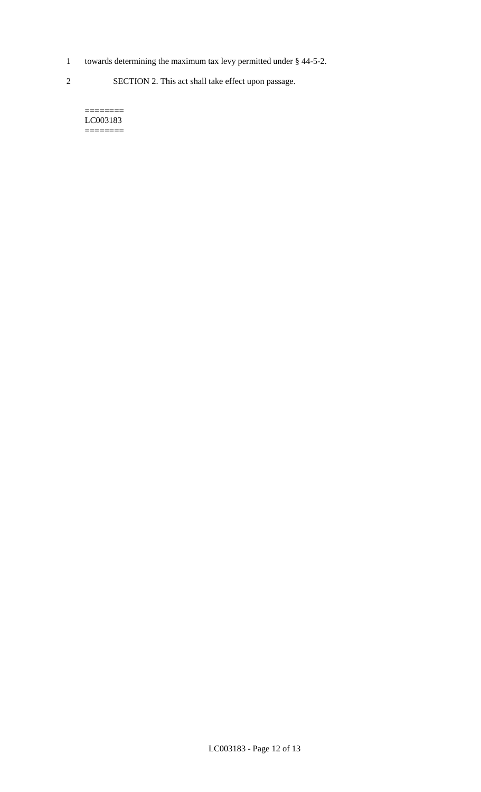1 towards determining the maximum tax levy permitted under § 44-5-2.

2 SECTION 2. This act shall take effect upon passage.

======== LC003183  $=$